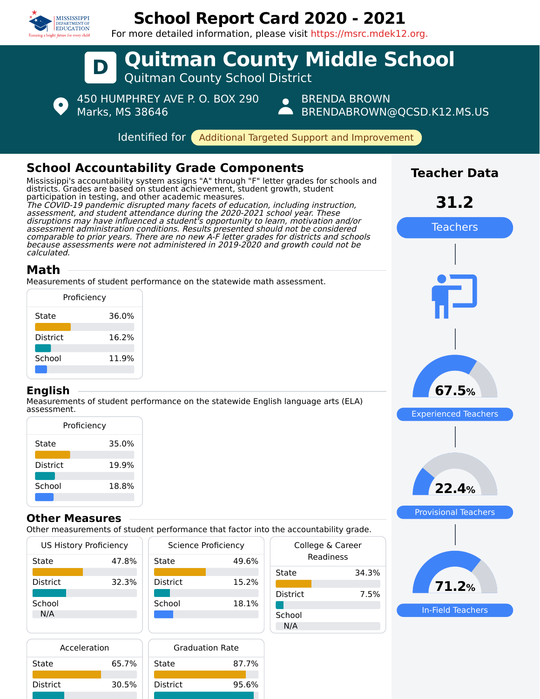

# **School Report Card 2020 - 2021**



### **Other Measures**

School 18.8%

Other measurements of student performance that factor into the accountability grade.

| <b>US History Proficiency</b> |       | <b>Science Proficiency</b> |       | College & Career |       |
|-------------------------------|-------|----------------------------|-------|------------------|-------|
| State                         | 47.8% | State                      | 49.6% | Readiness        |       |
|                               |       |                            |       | State            | 34.3% |
| <b>District</b>               | 32.3% | <b>District</b>            | 15.2% |                  |       |
|                               |       |                            |       | <b>District</b>  | 7.5%  |
| School                        |       | School                     | 18.1% |                  |       |
| N/A                           |       |                            |       | School           |       |
|                               |       |                            |       | N/A              |       |

| Acceleration    |       | <b>Graduation Rate</b> |       |  |
|-----------------|-------|------------------------|-------|--|
| State           | 65.7% | State                  | 87.7% |  |
| <b>District</b> | 30.5% | <b>District</b>        | 95.6% |  |



**22.4%**